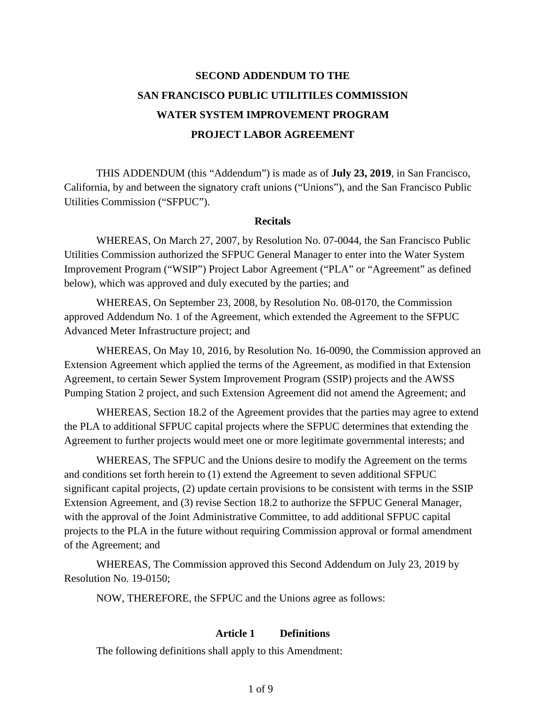# **SECOND ADDENDUM TO THE SAN FRANCISCO PUBLIC UTILITILES COMMISSION WATER SYSTEM IMPROVEMENT PROGRAM PROJECT LABOR AGREEMENT**

THIS ADDENDUM (this "Addendum") is made as of **July 23, 2019**, in San Francisco, California, by and between the signatory craft unions ("Unions"), and the San Francisco Public Utilities Commission ("SFPUC").

#### **Recitals**

WHEREAS, On March 27, 2007, by Resolution No. 07-0044, the San Francisco Public Utilities Commission authorized the SFPUC General Manager to enter into the Water System Improvement Program ("WSIP") Project Labor Agreement ("PLA" or "Agreement" as defined below), which was approved and duly executed by the parties; and

WHEREAS, On September 23, 2008, by Resolution No. 08-0170, the Commission approved Addendum No. 1 of the Agreement, which extended the Agreement to the SFPUC Advanced Meter Infrastructure project; and

WHEREAS, On May 10, 2016, by Resolution No. 16-0090, the Commission approved an Extension Agreement which applied the terms of the Agreement, as modified in that Extension Agreement, to certain Sewer System Improvement Program (SSIP) projects and the AWSS Pumping Station 2 project, and such Extension Agreement did not amend the Agreement; and

WHEREAS, Section 18.2 of the Agreement provides that the parties may agree to extend the PLA to additional SFPUC capital projects where the SFPUC determines that extending the Agreement to further projects would meet one or more legitimate governmental interests; and

WHEREAS, The SFPUC and the Unions desire to modify the Agreement on the terms and conditions set forth herein to (1) extend the Agreement to seven additional SFPUC significant capital projects, (2) update certain provisions to be consistent with terms in the SSIP Extension Agreement, and (3) revise Section 18.2 to authorize the SFPUC General Manager, with the approval of the Joint Administrative Committee, to add additional SFPUC capital projects to the PLA in the future without requiring Commission approval or formal amendment of the Agreement; and

WHEREAS, The Commission approved this Second Addendum on July 23, 2019 by Resolution No. 19-0150;

NOW, THEREFORE, the SFPUC and the Unions agree as follows:

#### **Article 1 Definitions**

The following definitions shall apply to this Amendment: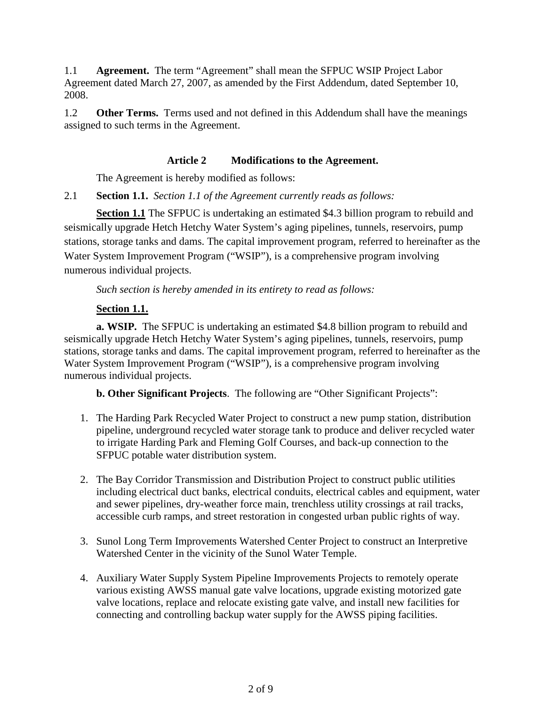1.1 **Agreement.** The term "Agreement" shall mean the SFPUC WSIP Project Labor Agreement dated March 27, 2007, as amended by the First Addendum, dated September 10, 2008.

1.2 **Other Terms.** Terms used and not defined in this Addendum shall have the meanings assigned to such terms in the Agreement.

#### **Article 2 Modifications to the Agreement.**

The Agreement is hereby modified as follows:

2.1 **Section 1.1.** *Section 1.1 of the Agreement currently reads as follows:*

**Section 1.1** The SFPUC is undertaking an estimated \$4.3 billion program to rebuild and seismically upgrade Hetch Hetchy Water System's aging pipelines, tunnels, reservoirs, pump stations, storage tanks and dams. The capital improvement program, referred to hereinafter as the Water System Improvement Program ("WSIP"), is a comprehensive program involving numerous individual projects.

*Such section is hereby amended in its entirety to read as follows:*

# **Section 1.1.**

**a. WSIP.** The SFPUC is undertaking an estimated \$4.8 billion program to rebuild and seismically upgrade Hetch Hetchy Water System's aging pipelines, tunnels, reservoirs, pump stations, storage tanks and dams. The capital improvement program, referred to hereinafter as the Water System Improvement Program ("WSIP"), is a comprehensive program involving numerous individual projects.

**b. Other Significant Projects**. The following are "Other Significant Projects":

- 1. The Harding Park Recycled Water Project to construct a new pump station, distribution pipeline, underground recycled water storage tank to produce and deliver recycled water to irrigate Harding Park and Fleming Golf Courses, and back-up connection to the SFPUC potable water distribution system.
- 2. The Bay Corridor Transmission and Distribution Project to construct public utilities including electrical duct banks, electrical conduits, electrical cables and equipment, water and sewer pipelines, dry-weather force main, trenchless utility crossings at rail tracks, accessible curb ramps, and street restoration in congested urban public rights of way.
- 3. Sunol Long Term Improvements Watershed Center Project to construct an Interpretive Watershed Center in the vicinity of the Sunol Water Temple.
- 4. Auxiliary Water Supply System Pipeline Improvements Projects to remotely operate various existing AWSS manual gate valve locations, upgrade existing motorized gate valve locations, replace and relocate existing gate valve, and install new facilities for connecting and controlling backup water supply for the AWSS piping facilities.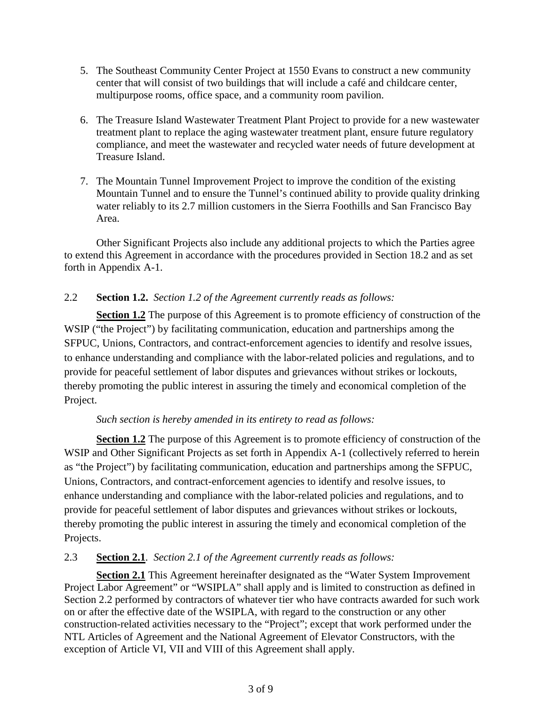- 5. The Southeast Community Center Project at 1550 Evans to construct a new community center that will consist of two buildings that will include a café and childcare center, multipurpose rooms, office space, and a community room pavilion.
- 6. The Treasure Island Wastewater Treatment Plant Project to provide for a new wastewater treatment plant to replace the aging wastewater treatment plant, ensure future regulatory compliance, and meet the wastewater and recycled water needs of future development at Treasure Island.
- 7. The Mountain Tunnel Improvement Project to improve the condition of the existing Mountain Tunnel and to ensure the Tunnel's continued ability to provide quality drinking water reliably to its 2.7 million customers in the Sierra Foothills and San Francisco Bay Area.

Other Significant Projects also include any additional projects to which the Parties agree to extend this Agreement in accordance with the procedures provided in Section 18.2 and as set forth in Appendix A-1.

# 2.2 **Section 1.2.** *Section 1.2 of the Agreement currently reads as follows:*

**Section 1.2** The purpose of this Agreement is to promote efficiency of construction of the WSIP ("the Project") by facilitating communication, education and partnerships among the SFPUC, Unions, Contractors, and contract-enforcement agencies to identify and resolve issues, to enhance understanding and compliance with the labor-related policies and regulations, and to provide for peaceful settlement of labor disputes and grievances without strikes or lockouts, thereby promoting the public interest in assuring the timely and economical completion of the Project.

# *Such section is hereby amended in its entirety to read as follows:*

**Section 1.2** The purpose of this Agreement is to promote efficiency of construction of the WSIP and Other Significant Projects as set forth in Appendix A-1 (collectively referred to herein as "the Project") by facilitating communication, education and partnerships among the SFPUC, Unions, Contractors, and contract-enforcement agencies to identify and resolve issues, to enhance understanding and compliance with the labor-related policies and regulations, and to provide for peaceful settlement of labor disputes and grievances without strikes or lockouts, thereby promoting the public interest in assuring the timely and economical completion of the Projects.

# 2.3 **Section 2.1***. Section 2.1 of the Agreement currently reads as follows:*

**Section 2.1** This Agreement hereinafter designated as the "Water System Improvement Project Labor Agreement" or "WSIPLA" shall apply and is limited to construction as defined in Section 2.2 performed by contractors of whatever tier who have contracts awarded for such work on or after the effective date of the WSIPLA, with regard to the construction or any other construction-related activities necessary to the "Project"; except that work performed under the NTL Articles of Agreement and the National Agreement of Elevator Constructors, with the exception of Article VI, VII and VIII of this Agreement shall apply.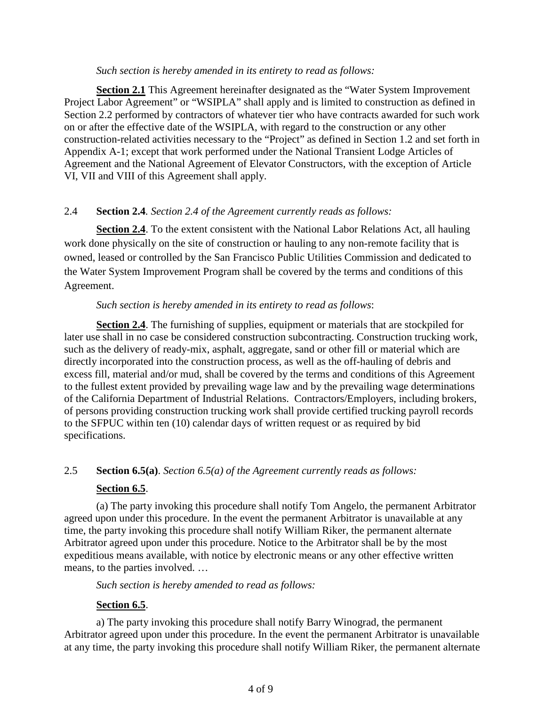#### *Such section is hereby amended in its entirety to read as follows:*

**Section 2.1** This Agreement hereinafter designated as the "Water System Improvement Project Labor Agreement" or "WSIPLA" shall apply and is limited to construction as defined in Section 2.2 performed by contractors of whatever tier who have contracts awarded for such work on or after the effective date of the WSIPLA, with regard to the construction or any other construction-related activities necessary to the "Project" as defined in Section 1.2 and set forth in Appendix A-1; except that work performed under the National Transient Lodge Articles of Agreement and the National Agreement of Elevator Constructors, with the exception of Article VI, VII and VIII of this Agreement shall apply.

#### 2.4 **Section 2.4***. Section 2.4 of the Agreement currently reads as follows:*

**Section 2.4**. To the extent consistent with the National Labor Relations Act, all hauling work done physically on the site of construction or hauling to any non-remote facility that is owned, leased or controlled by the San Francisco Public Utilities Commission and dedicated to the Water System Improvement Program shall be covered by the terms and conditions of this Agreement.

#### *Such section is hereby amended in its entirety to read as follows*:

**Section 2.4**. The furnishing of supplies, equipment or materials that are stockpiled for later use shall in no case be considered construction subcontracting. Construction trucking work, such as the delivery of ready-mix, asphalt, aggregate, sand or other fill or material which are directly incorporated into the construction process, as well as the off-hauling of debris and excess fill, material and/or mud, shall be covered by the terms and conditions of this Agreement to the fullest extent provided by prevailing wage law and by the prevailing wage determinations of the California Department of Industrial Relations. Contractors/Employers, including brokers, of persons providing construction trucking work shall provide certified trucking payroll records to the SFPUC within ten (10) calendar days of written request or as required by bid specifications.

# 2.5 **Section 6.5(a)**. *Section 6.5(a) of the Agreement currently reads as follows:*

# **Section 6.5**.

(a) The party invoking this procedure shall notify Tom Angelo, the permanent Arbitrator agreed upon under this procedure. In the event the permanent Arbitrator is unavailable at any time, the party invoking this procedure shall notify William Riker, the permanent alternate Arbitrator agreed upon under this procedure. Notice to the Arbitrator shall be by the most expeditious means available, with notice by electronic means or any other effective written means, to the parties involved. …

*Such section is hereby amended to read as follows:*

# **Section 6.5**.

a) The party invoking this procedure shall notify Barry Winograd, the permanent Arbitrator agreed upon under this procedure. In the event the permanent Arbitrator is unavailable at any time, the party invoking this procedure shall notify William Riker, the permanent alternate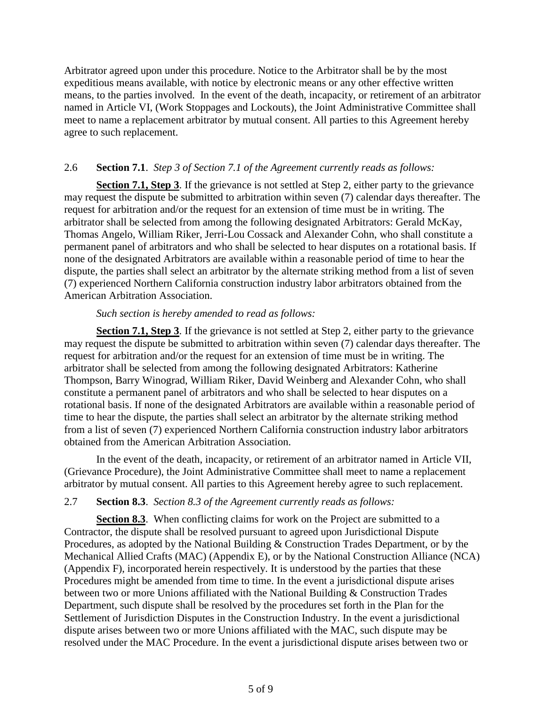Arbitrator agreed upon under this procedure. Notice to the Arbitrator shall be by the most expeditious means available, with notice by electronic means or any other effective written means, to the parties involved. In the event of the death, incapacity, or retirement of an arbitrator named in Article VI, (Work Stoppages and Lockouts), the Joint Administrative Committee shall meet to name a replacement arbitrator by mutual consent. All parties to this Agreement hereby agree to such replacement.

# 2.6 **Section 7.1**. *Step 3 of Section 7.1 of the Agreement currently reads as follows:*

**Section 7.1, Step 3**. If the grievance is not settled at Step 2, either party to the grievance may request the dispute be submitted to arbitration within seven (7) calendar days thereafter. The request for arbitration and/or the request for an extension of time must be in writing. The arbitrator shall be selected from among the following designated Arbitrators: Gerald McKay, Thomas Angelo, William Riker, Jerri-Lou Cossack and Alexander Cohn, who shall constitute a permanent panel of arbitrators and who shall be selected to hear disputes on a rotational basis. If none of the designated Arbitrators are available within a reasonable period of time to hear the dispute, the parties shall select an arbitrator by the alternate striking method from a list of seven (7) experienced Northern California construction industry labor arbitrators obtained from the American Arbitration Association.

#### *Such section is hereby amended to read as follows:*

**Section 7.1, Step 3**. If the grievance is not settled at Step 2, either party to the grievance may request the dispute be submitted to arbitration within seven (7) calendar days thereafter. The request for arbitration and/or the request for an extension of time must be in writing. The arbitrator shall be selected from among the following designated Arbitrators: Katherine Thompson, Barry Winograd, William Riker, David Weinberg and Alexander Cohn, who shall constitute a permanent panel of arbitrators and who shall be selected to hear disputes on a rotational basis. If none of the designated Arbitrators are available within a reasonable period of time to hear the dispute, the parties shall select an arbitrator by the alternate striking method from a list of seven (7) experienced Northern California construction industry labor arbitrators obtained from the American Arbitration Association.

In the event of the death, incapacity, or retirement of an arbitrator named in Article VII, (Grievance Procedure), the Joint Administrative Committee shall meet to name a replacement arbitrator by mutual consent. All parties to this Agreement hereby agree to such replacement.

# 2.7 **Section 8.3**. *Section 8.3 of the Agreement currently reads as follows:*

**Section 8.3**. When conflicting claims for work on the Project are submitted to a Contractor, the dispute shall be resolved pursuant to agreed upon Jurisdictional Dispute Procedures, as adopted by the National Building & Construction Trades Department, or by the Mechanical Allied Crafts (MAC) (Appendix E), or by the National Construction Alliance (NCA) (Appendix F), incorporated herein respectively. It is understood by the parties that these Procedures might be amended from time to time. In the event a jurisdictional dispute arises between two or more Unions affiliated with the National Building & Construction Trades Department, such dispute shall be resolved by the procedures set forth in the Plan for the Settlement of Jurisdiction Disputes in the Construction Industry. In the event a jurisdictional dispute arises between two or more Unions affiliated with the MAC, such dispute may be resolved under the MAC Procedure. In the event a jurisdictional dispute arises between two or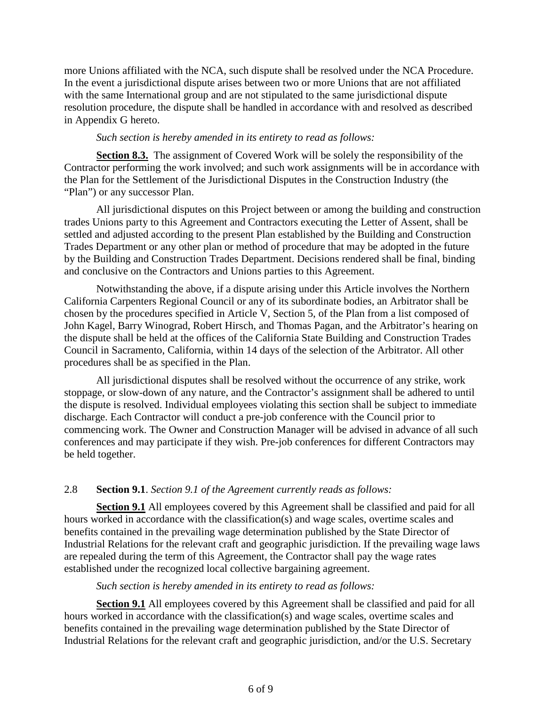more Unions affiliated with the NCA, such dispute shall be resolved under the NCA Procedure. In the event a jurisdictional dispute arises between two or more Unions that are not affiliated with the same International group and are not stipulated to the same jurisdictional dispute resolution procedure, the dispute shall be handled in accordance with and resolved as described in Appendix G hereto.

#### *Such section is hereby amended in its entirety to read as follows:*

**Section 8.3.** The assignment of Covered Work will be solely the responsibility of the Contractor performing the work involved; and such work assignments will be in accordance with the Plan for the Settlement of the Jurisdictional Disputes in the Construction Industry (the "Plan") or any successor Plan.

All jurisdictional disputes on this Project between or among the building and construction trades Unions party to this Agreement and Contractors executing the Letter of Assent, shall be settled and adjusted according to the present Plan established by the Building and Construction Trades Department or any other plan or method of procedure that may be adopted in the future by the Building and Construction Trades Department. Decisions rendered shall be final, binding and conclusive on the Contractors and Unions parties to this Agreement.

Notwithstanding the above, if a dispute arising under this Article involves the Northern California Carpenters Regional Council or any of its subordinate bodies, an Arbitrator shall be chosen by the procedures specified in Article V, Section 5, of the Plan from a list composed of John Kagel, Barry Winograd, Robert Hirsch, and Thomas Pagan, and the Arbitrator's hearing on the dispute shall be held at the offices of the California State Building and Construction Trades Council in Sacramento, California, within 14 days of the selection of the Arbitrator. All other procedures shall be as specified in the Plan.

All jurisdictional disputes shall be resolved without the occurrence of any strike, work stoppage, or slow-down of any nature, and the Contractor's assignment shall be adhered to until the dispute is resolved. Individual employees violating this section shall be subject to immediate discharge. Each Contractor will conduct a pre-job conference with the Council prior to commencing work. The Owner and Construction Manager will be advised in advance of all such conferences and may participate if they wish. Pre-job conferences for different Contractors may be held together.

# 2.8 **Section 9.1**. *Section 9.1 of the Agreement currently reads as follows:*

**Section 9.1** All employees covered by this Agreement shall be classified and paid for all hours worked in accordance with the classification(s) and wage scales, overtime scales and benefits contained in the prevailing wage determination published by the State Director of Industrial Relations for the relevant craft and geographic jurisdiction. If the prevailing wage laws are repealed during the term of this Agreement, the Contractor shall pay the wage rates established under the recognized local collective bargaining agreement.

#### *Such section is hereby amended in its entirety to read as follows:*

**Section 9.1** All employees covered by this Agreement shall be classified and paid for all hours worked in accordance with the classification(s) and wage scales, overtime scales and benefits contained in the prevailing wage determination published by the State Director of Industrial Relations for the relevant craft and geographic jurisdiction, and/or the U.S. Secretary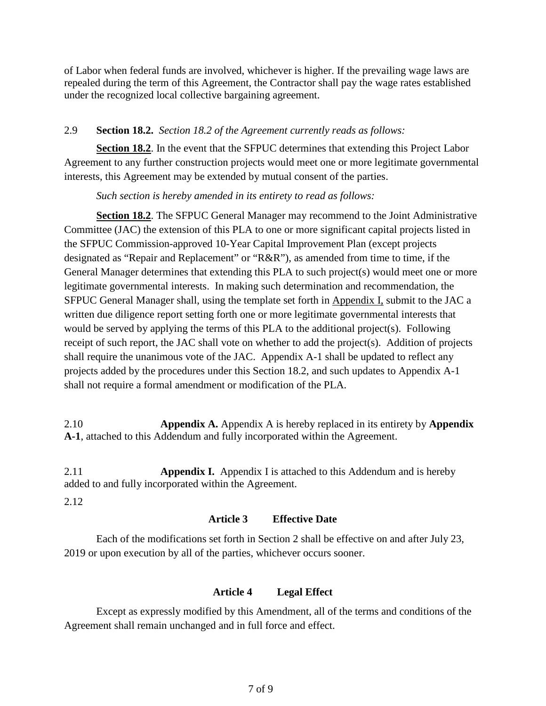of Labor when federal funds are involved, whichever is higher. If the prevailing wage laws are repealed during the term of this Agreement, the Contractor shall pay the wage rates established under the recognized local collective bargaining agreement.

# 2.9 **Section 18.2.** *Section 18.2 of the Agreement currently reads as follows:*

**Section 18.2**. In the event that the SFPUC determines that extending this Project Labor Agreement to any further construction projects would meet one or more legitimate governmental interests, this Agreement may be extended by mutual consent of the parties.

#### *Such section is hereby amended in its entirety to read as follows:*

**Section 18.2**. The SFPUC General Manager may recommend to the Joint Administrative Committee (JAC) the extension of this PLA to one or more significant capital projects listed in the SFPUC Commission-approved 10-Year Capital Improvement Plan (except projects designated as "Repair and Replacement" or "R&R"), as amended from time to time, if the General Manager determines that extending this PLA to such project(s) would meet one or more legitimate governmental interests. In making such determination and recommendation, the SFPUC General Manager shall, using the template set forth in Appendix I, submit to the JAC a written due diligence report setting forth one or more legitimate governmental interests that would be served by applying the terms of this PLA to the additional project(s). Following receipt of such report, the JAC shall vote on whether to add the project(s). Addition of projects shall require the unanimous vote of the JAC. Appendix A-1 shall be updated to reflect any projects added by the procedures under this Section 18.2, and such updates to Appendix A-1 shall not require a formal amendment or modification of the PLA.

2.10 **Appendix A.** Appendix A is hereby replaced in its entirety by **Appendix A-1**, attached to this Addendum and fully incorporated within the Agreement.

2.11 **Appendix I.** Appendix I is attached to this Addendum and is hereby added to and fully incorporated within the Agreement.

2.12

# **Article 3 Effective Date**

Each of the modifications set forth in Section 2 shall be effective on and after July 23, 2019 or upon execution by all of the parties, whichever occurs sooner.

# **Article 4 Legal Effect**

Except as expressly modified by this Amendment, all of the terms and conditions of the Agreement shall remain unchanged and in full force and effect.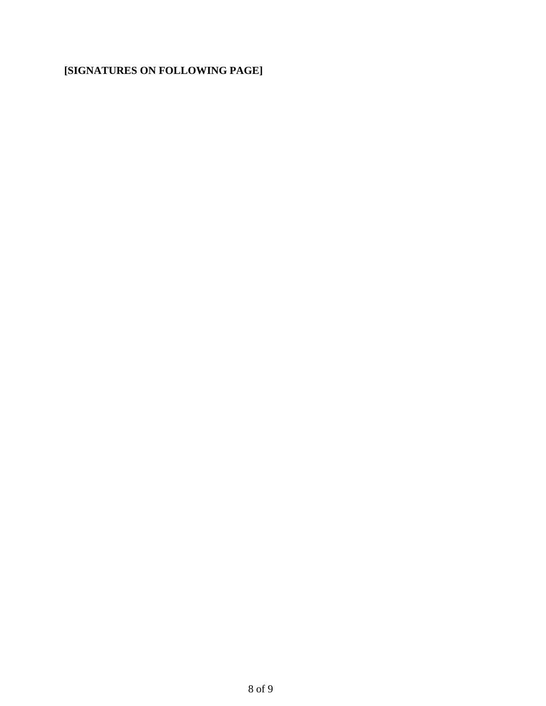# **[SIGNATURES ON FOLLOWING PAGE]**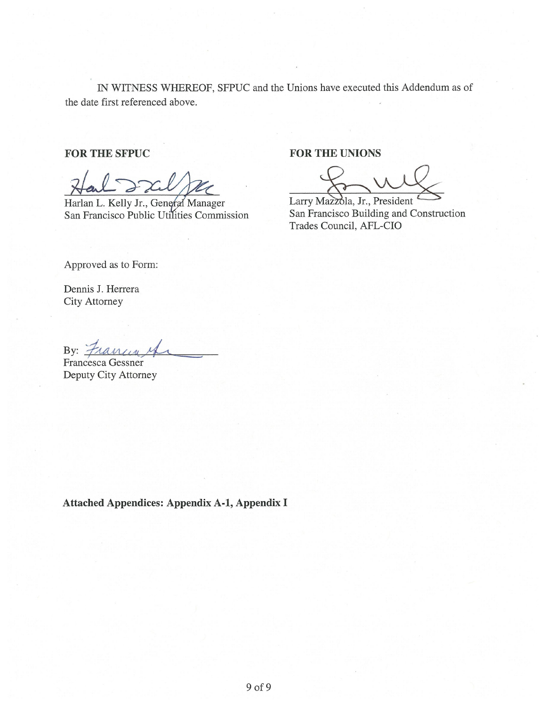IN WITNESS WHEREOF, SFPUC and the Unions have executed this Addendum as of the date first referenced above.

# **FOR THE SFPUC**

Harlan L. Kelly Jr., General Manager San Francisco Public Utilities Commission

# **FOR THE UNIONS**

Larry Mazzola, Jr., President San Francisco Building and Construction Trades Council, AFL-CIO

Approved as to Form:

Dennis J. Herrera City Attorney

By: Francey

Francesca Gessner Deputy City Attorney

**Attached Appendices: Appendix A-1, Appendix I**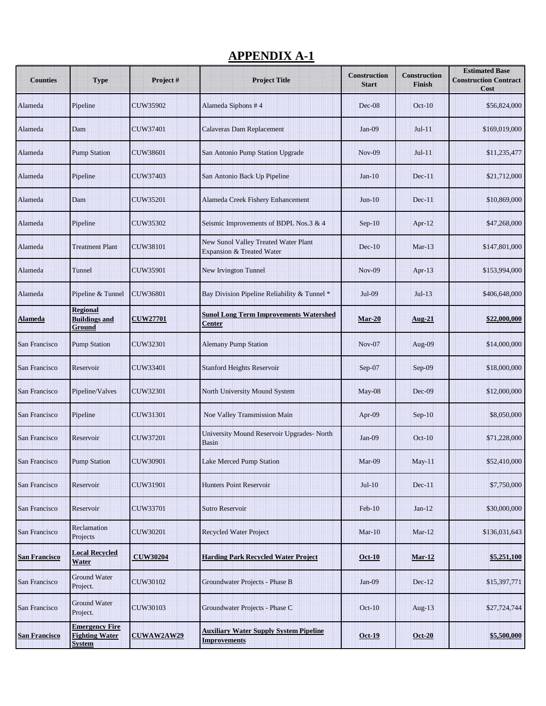# **APPENDIX A-1**

| <b>Counties</b>      | <b>Type</b>                                                     | Project#          | <b>Project Title</b>                                                 | <b>Construction</b><br><b>Start</b> | <b>Construction</b><br>Finish | <b>Estimated Base</b><br><b>Construction Contract</b><br>Cost |
|----------------------|-----------------------------------------------------------------|-------------------|----------------------------------------------------------------------|-------------------------------------|-------------------------------|---------------------------------------------------------------|
| Alameda              | Pipeline                                                        | CUW35902          | Alameda Siphons #4                                                   | Dec-08                              | $Oct-10$                      | \$56,824,000                                                  |
| Alameda              | Dam                                                             | CUW37401          | Calaveras Dam Replacement                                            | $Jan-09$                            | $Jul-11$                      | \$169,019,000                                                 |
| Alameda              | <b>Pump Station</b>                                             | CUW38601          | San Antonio Pump Station Upgrade                                     | <b>Nov-09</b>                       | $Jul-11$                      | \$11,235,477                                                  |
| Alameda              | Pipeline                                                        | CUW37403          | San Antonio Back Up Pipeline                                         | $Jan-10$                            | $Dec-11$                      | \$21,712,000                                                  |
| Alameda              | Dam                                                             | CUW35201          | Alameda Creek Fishery Enhancement                                    | $Jun-10$                            | $Dec-11$                      | \$10,869,000                                                  |
| Alameda              | Pipeline                                                        | CUW35302          | Seismic Improvements of BDPL Nos.3 & 4                               | $Sep-10$                            | Apr- $12$                     | \$47,268,000                                                  |
| Alameda              | <b>Treatment Plant</b>                                          | <b>CUW38101</b>   | New Sunol Valley Treated Water Plant<br>Expansion & Treated Water    | $Dec-10$                            | $Mar-13$                      | \$147,801,000                                                 |
| Alameda              | Tunnel                                                          | CUW35901          | <b>New Irvington Tunnel</b>                                          | <b>Nov-09</b>                       | Apr- $13$                     | \$153,994,000                                                 |
| Alameda              | Pipeline & Tunnel                                               | <b>CUW36801</b>   | Bay Division Pipeline Reliability & Tunnel *                         | Jul-09                              | $Jul-13$                      | \$406,648,000                                                 |
| <b>Alameda</b>       | <b>Regional</b><br><b>Buildings and</b><br>Ground               | <b>CUW27701</b>   | <b>Sunol Long Term Improvements Watershed</b><br>Center              | <b>Mar-20</b>                       | <b>Aug-21</b>                 | \$22,000,000                                                  |
| San Francisco        | <b>Pump Station</b>                                             | CUW32301          | <b>Alemany Pump Station</b>                                          | $Nov-07$                            | Aug-09                        | \$14,000,000                                                  |
| San Francisco        | Reservoir                                                       | CUW33401          | <b>Stanford Heights Reservoir</b>                                    | $Sep-07$                            | Sep-09                        | \$18,000,000                                                  |
| San Francisco        | Pipeline/Valves                                                 | CUW32301          | North University Mound System                                        | May-08                              | $Dec-09$                      | \$12,000,000                                                  |
| San Francisco        | Pipeline                                                        | CUW31301          | Noe Valley Transmission Main                                         | Apr-09                              | $Sep-10$                      | \$8,050,000                                                   |
| San Francisco        | Reservoir                                                       | CUW37201          | University Mound Reservoir Upgrades- North<br><b>Basin</b>           | $Jan-09$                            | $Oct-10$                      | \$71,228,000                                                  |
| San Francisco        | <b>Pump Station</b>                                             | CUW30901          | Lake Merced Pump Station                                             | $Mar-09$                            | $May-11$                      | \$52,410,000                                                  |
| San Francisco        | Reservoir                                                       | CUW31901          | <b>Hunters Point Reservoir</b>                                       | $Jul-10$                            | Dec-11                        | \$7,750,000                                                   |
| San Francisco        | Reservoir                                                       | CUW33701          | <b>Sutro Reservoir</b>                                               | $Feb-10$                            | $Jan-12$                      | \$30,000,000                                                  |
| San Francisco        | Reclamation<br>Projects                                         | CUW30201          | <b>Recycled Water Project</b>                                        | $Mar-10$                            | $Mar-12$                      | \$136,031,643                                                 |
| <b>San Francisco</b> | <b>Local Recycled</b><br>Water                                  | <b>CUW30204</b>   | <b>Harding Park Recycled Water Project</b>                           | <b>Oct-10</b>                       | $Mar-12$                      | \$5,251,100                                                   |
| San Francisco        | <b>Ground Water</b><br>Project.                                 | CUW30102          | Groundwater Projects - Phase B                                       | $Jan-09$                            | $Dec-12$                      | \$15,397,771                                                  |
| San Francisco        | <b>Ground Water</b><br>Project.                                 | CUW30103          | Groundwater Projects - Phase C                                       | $Oct-10$                            | Aug- $13$                     | \$27,724,744                                                  |
| <b>San Francisco</b> | <b>Emergency Fire</b><br><b>Fighting Water</b><br><b>System</b> | <b>CUWAW2AW29</b> | <b>Auxiliary Water Supply System Pipeline</b><br><b>Improvements</b> | <b>Oct-19</b>                       | $Oct-20$                      | \$5,500,000                                                   |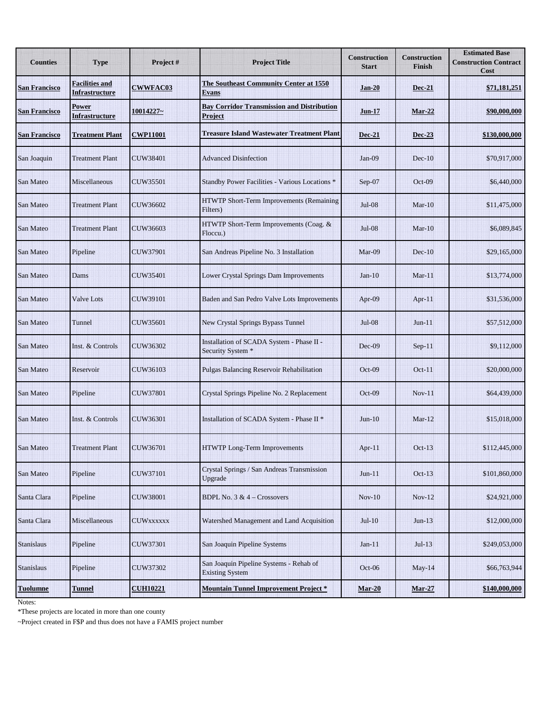| <b>Counties</b>      | <b>Type</b>                                    | Project#         | <b>Project Title</b>                                              | <b>Construction</b><br><b>Start</b> | <b>Construction</b><br><b>Finish</b> | <b>Estimated Base</b><br><b>Construction Contract</b><br>Cost |
|----------------------|------------------------------------------------|------------------|-------------------------------------------------------------------|-------------------------------------|--------------------------------------|---------------------------------------------------------------|
| <b>San Francisco</b> | <b>Facilities and</b><br><b>Infrastructure</b> | <b>CWWFAC03</b>  | The Southeast Community Center at 1550<br><b>Evans</b>            | Jan-20                              | <b>Dec-21</b>                        | \$71,181,251                                                  |
| <b>San Francisco</b> | Power<br>Infrastructure                        | 10014227~        | <b>Bay Corridor Transmission and Distribution</b><br>Project      | <b>Jun-17</b>                       | Mar-22                               | \$90,000,000                                                  |
| <b>San Francisco</b> | <b>Treatment Plant</b>                         | <b>CWP11001</b>  | <b>Treasure Island Wastewater Treatment Plant</b>                 | Dec-21                              | Dec-23                               | \$130,000,000                                                 |
| San Joaquin          | <b>Treatment Plant</b>                         | <b>CUW38401</b>  | <b>Advanced Disinfection</b>                                      | $Jan-09$                            | $Dec-10$                             | \$70,917,000                                                  |
| San Mateo            | Miscellaneous                                  | <b>CUW35501</b>  | Standby Power Facilities - Various Locations *                    | Sep-07                              | $Oct-09$                             | \$6,440,000                                                   |
| San Mateo            | <b>Treatment Plant</b>                         | CUW36602         | HTWTP Short-Term Improvements (Remaining<br>Filters)              | <b>Jul-08</b>                       | $Mar-10$                             | \$11,475,000                                                  |
| San Mateo            | <b>Treatment Plant</b>                         | CUW36603         | HTWTP Short-Term Improvements (Coag. &<br>Floccu.)                | <b>Jul-08</b>                       | $Mar-10$                             | \$6,089,845                                                   |
| San Mateo            | Pipeline                                       | <b>CUW37901</b>  | San Andreas Pipeline No. 3 Installation                           | Mar-09                              | $Dec-10$                             | \$29,165,000                                                  |
| San Mateo            | Dams                                           | CUW35401         | Lower Crystal Springs Dam Improvements                            | $Jan-10$                            | $Mar-11$                             | \$13,774,000                                                  |
| San Mateo            | <b>Valve Lots</b>                              | CUW39101         | Baden and San Pedro Valve Lots Improvements                       | Apr- $09$                           | $Apr-11$                             | \$31,536,000                                                  |
| San Mateo            | Tunnel                                         | CUW35601         | New Crystal Springs Bypass Tunnel                                 | <b>Jul-08</b>                       | $Jun-11$                             | \$57,512,000                                                  |
| San Mateo            | Inst. & Controls                               | CUW36302         | Installation of SCADA System - Phase II -<br>Security System *    | Dec-09                              | $Sep-11$                             | \$9,112,000                                                   |
| San Mateo            | Reservoir                                      | CUW36103         | Pulgas Balancing Reservoir Rehabilitation                         | $Oct-09$                            | $Oct-11$                             | \$20,000,000                                                  |
| San Mateo            | Pipeline                                       | CUW37801         | Crystal Springs Pipeline No. 2 Replacement                        | Oct-09                              | $Nov-11$                             | \$64,439,000                                                  |
| San Mateo            | Inst. & Controls                               | CUW36301         | Installation of SCADA System - Phase II *                         | $Jun-10$                            | $Mar-12$                             | \$15,018,000                                                  |
| San Mateo            | <b>Treatment Plant</b>                         | CUW36701         | HTWTP Long-Term Improvements                                      | Apr-11                              | $Oct-13$                             | \$112,445,000                                                 |
| San Mateo            | Pipeline                                       | <b>CUW37101</b>  | Crystal Springs / San Andreas Transmission<br>Upgrade             | $Jun-11$                            | $Oct-13$                             | \$101,860,000                                                 |
| Santa Clara          | Pipeline                                       | CUW38001         | <b>BDPL No. 3 &amp; 4 – Crossovers</b>                            | $Nov-10$                            | $Nov-12$                             | \$24,921,000                                                  |
| Santa Clara          | Miscellaneous                                  | <b>CUWXXXXXX</b> | Watershed Management and Land Acquisition                         | $Jul-10$                            | $Jun-13$                             | \$12,000,000                                                  |
| Stanislaus           | Pipeline                                       | CUW37301         | San Joaquin Pipeline Systems                                      | $Jan-11$                            | $Jul-13$                             | \$249,053,000                                                 |
| Stanislaus           | Pipeline                                       | CUW37302         | San Joaquin Pipeline Systems - Rehab of<br><b>Existing System</b> | $Oct-06$                            | $May-14$                             | \$66,763,944                                                  |
| <b>Tuolumne</b>      | <b>Tunnel</b>                                  | <b>CUH10221</b>  | <b>Mountain Tunnel Improvement Project *</b>                      | $Mar-20$                            | <b>Mar-27</b>                        | \$140,000,000                                                 |

Notes:

\*These projects are located in more than one county

~Project created in F\$P and thus does not have a FAMIS project number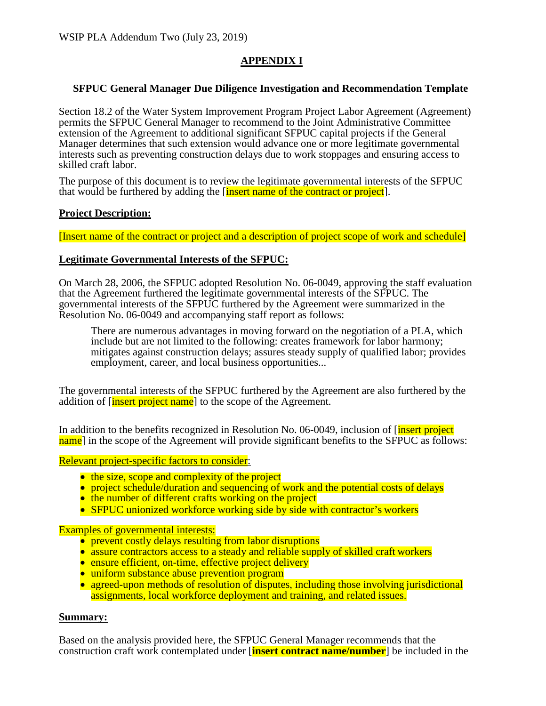# **APPENDIX I**

#### **SFPUC General Manager Due Diligence Investigation and Recommendation Template**

Section 18.2 of the Water System Improvement Program Project Labor Agreement (Agreement) permits the SFPUC General Manager to recommend to the Joint Administrative Committee extension of the Agreement to additional significant SFPUC capital projects if the General Manager determines that such extension would advance one or more legitimate governmental interests such as preventing construction delays due to work stoppages and ensuring access to skilled craft labor.

The purpose of this document is to review the legitimate governmental interests of the SFPUC that would be furthered by adding the *finsert name of the contract or project*.

#### **Project Description:**

[Insert name of the contract or project and a description of project scope of work and schedule]

#### **Legitimate Governmental Interests of the SFPUC:**

On March 28, 2006, the SFPUC adopted Resolution No. 06-0049, approving the staff evaluation that the Agreement furthered the legitimate governmental interests of the SFPUC. The governmental interests of the SFPUC furthered by the Agreement were summarized in the Resolution No. 06-0049 and accompanying staff report as follows:

There are numerous advantages in moving forward on the negotiation of a PLA, which include but are not limited to the following: creates framework for labor harmony; mitigates against construction delays; assures steady supply of qualified labor; provides employment, career, and local business opportunities...

The governmental interests of the SFPUC furthered by the Agreement are also furthered by the addition of [*insert project name*] to the scope of the Agreement.

In addition to the benefits recognized in Resolution No. 06-0049, inclusion of **[insert project**] name] in the scope of the Agreement will provide significant benefits to the SFPUC as follows:

Relevant project-specific factors to consider:

- 
- the size, scope and complexity of the project<br>• project schedule/duration and sequencing of work and the potential costs of delays<br>• the number of different crafts working on the project
- 
- SFPUC unionized workforce working side by side with contractor's workers

- Examples of governmental interests:<br>• prevent costly delays resulting from labor disruptions
	- assure contractors access to a steady and reliable supply of skilled craft workers<br>• ensure efficient, on-time, effective project delivery<br>• uniform substance abuse prevention program
	-
	-
	- agreed-upon methods of resolution of disputes, including those involving jurisdictional assignments, local workforce deployment and training, and related issues.

#### **Summary:**

Based on the analysis provided here, the SFPUC General Manager recommends that the construction craft work contemplated under [**insert contract name/number**] be included in the